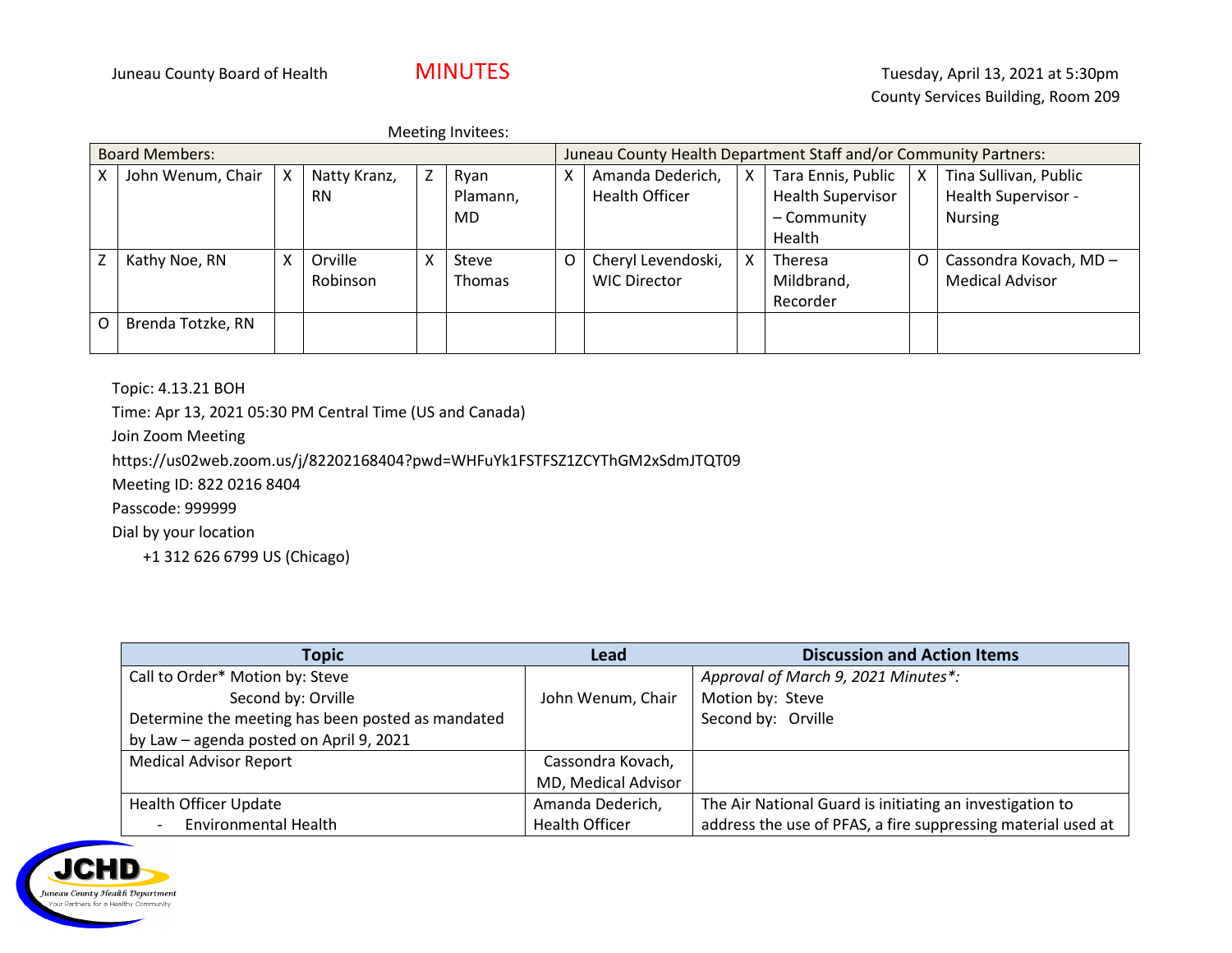Meeting Invitees:

| <b>Board Members:</b>    |                   |   |              |   | Juneau County Health Department Staff and/or Community Partners: |   |                     |   |                          |   |                        |
|--------------------------|-------------------|---|--------------|---|------------------------------------------------------------------|---|---------------------|---|--------------------------|---|------------------------|
|                          | John Wenum, Chair | X | Natty Kranz, | Z | Ryan                                                             | x | Amanda Dederich,    | X | Tara Ennis, Public       | X | Tina Sullivan, Public  |
|                          |                   |   | <b>RN</b>    |   | Plamann,                                                         |   | Health Officer      |   | <b>Health Supervisor</b> |   | Health Supervisor -    |
|                          |                   |   |              |   | MD                                                               |   |                     |   | - Community              |   | <b>Nursing</b>         |
|                          |                   |   |              |   |                                                                  |   |                     |   | Health                   |   |                        |
| $\overline{\phantom{a}}$ | Kathy Noe, RN     | X | Orville      | X | Steve                                                            | O | Cheryl Levendoski,  | X | Theresa                  |   | Cassondra Kovach, MD-  |
|                          |                   |   | Robinson     |   | <b>Thomas</b>                                                    |   | <b>WIC Director</b> |   | Mildbrand,               |   | <b>Medical Advisor</b> |
|                          |                   |   |              |   |                                                                  |   |                     |   | Recorder                 |   |                        |
| O                        | Brenda Totzke, RN |   |              |   |                                                                  |   |                     |   |                          |   |                        |
|                          |                   |   |              |   |                                                                  |   |                     |   |                          |   |                        |

Topic: 4.13.21 BOH

Time: Apr 13, 2021 05:30 PM Central Time (US and Canada)

Join Zoom Meeting

https://us02web.zoom.us/j/82202168404?pwd=WHFuYk1FSTFSZ1ZCYThGM2xSdmJTQT09

Meeting ID: 822 0216 8404

Passcode: 999999

Dial by your location

+1 312 626 6799 US (Chicago)

| <b>Topic</b>                                      | Lead                  | <b>Discussion and Action Items</b>                           |
|---------------------------------------------------|-----------------------|--------------------------------------------------------------|
| Call to Order* Motion by: Steve                   |                       | Approval of March 9, 2021 Minutes*:                          |
| Second by: Orville                                | John Wenum, Chair     | Motion by: Steve                                             |
| Determine the meeting has been posted as mandated |                       | Second by: Orville                                           |
| by Law - agenda posted on April 9, 2021           |                       |                                                              |
| <b>Medical Advisor Report</b>                     | Cassondra Kovach,     |                                                              |
|                                                   | MD, Medical Advisor   |                                                              |
| <b>Health Officer Update</b>                      | Amanda Dederich,      | The Air National Guard is initiating an investigation to     |
| <b>Environmental Health</b>                       | <b>Health Officer</b> | address the use of PFAS, a fire suppressing material used at |

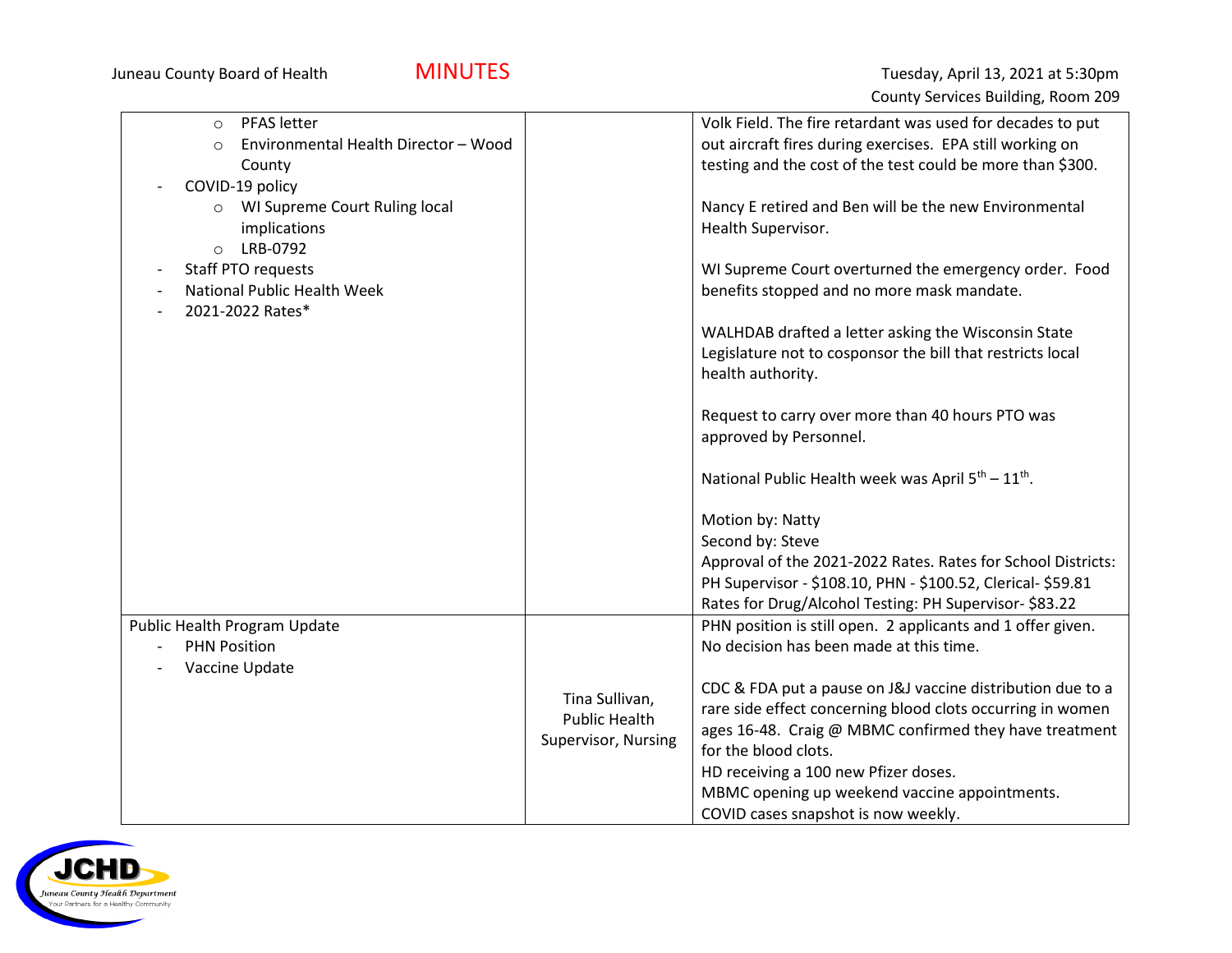| PFAS letter<br>$\circ$                          |                      | Volk Field. The fire retardant was used for decades to put                 |
|-------------------------------------------------|----------------------|----------------------------------------------------------------------------|
| Environmental Health Director - Wood<br>$\circ$ |                      | out aircraft fires during exercises. EPA still working on                  |
| County                                          |                      | testing and the cost of the test could be more than \$300.                 |
| COVID-19 policy                                 |                      |                                                                            |
| WI Supreme Court Ruling local<br>$\circ$        |                      | Nancy E retired and Ben will be the new Environmental                      |
| implications                                    |                      | Health Supervisor.                                                         |
| LRB-0792<br>$\circ$                             |                      |                                                                            |
| Staff PTO requests                              |                      | WI Supreme Court overturned the emergency order. Food                      |
| National Public Health Week                     |                      | benefits stopped and no more mask mandate.                                 |
| 2021-2022 Rates*                                |                      |                                                                            |
|                                                 |                      | WALHDAB drafted a letter asking the Wisconsin State                        |
|                                                 |                      | Legislature not to cosponsor the bill that restricts local                 |
|                                                 |                      | health authority.                                                          |
|                                                 |                      |                                                                            |
|                                                 |                      | Request to carry over more than 40 hours PTO was                           |
|                                                 |                      | approved by Personnel.                                                     |
|                                                 |                      | National Public Health week was April 5 <sup>th</sup> - 11 <sup>th</sup> . |
|                                                 |                      |                                                                            |
|                                                 |                      | Motion by: Natty                                                           |
|                                                 |                      | Second by: Steve                                                           |
|                                                 |                      | Approval of the 2021-2022 Rates. Rates for School Districts:               |
|                                                 |                      | PH Supervisor - \$108.10, PHN - \$100.52, Clerical- \$59.81                |
|                                                 |                      | Rates for Drug/Alcohol Testing: PH Supervisor- \$83.22                     |
| Public Health Program Update                    |                      | PHN position is still open. 2 applicants and 1 offer given.                |
| <b>PHN Position</b>                             |                      | No decision has been made at this time.                                    |
| Vaccine Update                                  |                      |                                                                            |
|                                                 | Tina Sullivan,       | CDC & FDA put a pause on J&J vaccine distribution due to a                 |
|                                                 | <b>Public Health</b> | rare side effect concerning blood clots occurring in women                 |
|                                                 | Supervisor, Nursing  | ages 16-48. Craig @ MBMC confirmed they have treatment                     |
|                                                 |                      | for the blood clots.                                                       |
|                                                 |                      | HD receiving a 100 new Pfizer doses.                                       |
|                                                 |                      | MBMC opening up weekend vaccine appointments.                              |
|                                                 |                      | COVID cases snapshot is now weekly.                                        |